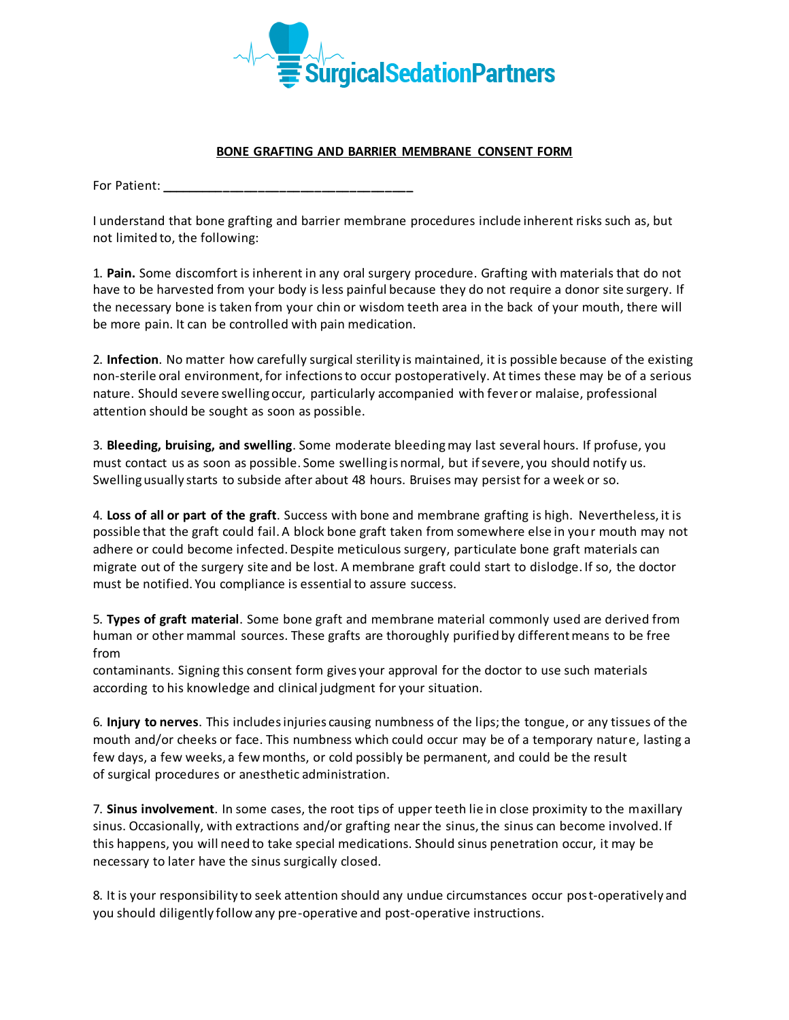

## **BONE GRAFTING AND BARRIER MEMBRANE CONSENT FORM**

For Patient: **\_\_\_\_\_\_\_\_\_\_\_\_\_\_\_\_\_\_\_\_\_\_\_\_\_\_\_\_\_\_\_\_\_\_\_\_**

I understand that bone grafting and barrier membrane procedures include inherent risks such as, but not limited to, the following:

1. **Pain.** Some discomfort is inherent in any oral surgery procedure. Grafting with materials that do not have to be harvested from your body is less painful because they do not require a donor site surgery. If the necessary bone is taken from your chin or wisdom teeth area in the back of your mouth, there will be more pain. It can be controlled with pain medication.

2. **Infection**. No matter how carefully surgical sterility is maintained, it is possible because of the existing non-sterile oral environment, for infections to occur postoperatively. At times these may be of a serious nature. Should severe swelling occur, particularly accompanied with fever or malaise, professional attention should be sought as soon as possible.

3. **Bleeding, bruising, and swelling**. Some moderate bleeding may last several hours. If profuse, you must contact us as soon as possible. Some swelling is normal, but if severe, you should notify us. Swelling usually starts to subside after about 48 hours. Bruises may persist for a week or so.

4. **Loss of all or part of the graft**. Success with bone and membrane grafting is high. Nevertheless, it is possible that the graft could fail. A block bone graft taken from somewhere else in your mouth may not adhere or could become infected. Despite meticulous surgery, particulate bone graft materials can migrate out of the surgery site and be lost. A membrane graft could start to dislodge. If so, the doctor must be notified. You compliance is essential to assure success.

5. **Types of graft material**. Some bone graft and membrane material commonly used are derived from human or other mammal sources. These grafts are thoroughly purified by different means to be free from

contaminants. Signing this consent form gives your approval for the doctor to use such materials according to his knowledge and clinical judgment for your situation.

6. **Injury to nerves**. This includesinjuries causing numbness of the lips; the tongue, or any tissues of the mouth and/or cheeks or face. This numbness which could occur may be of a temporary nature, lasting a few days, a few weeks, a few months, or cold possibly be permanent, and could be the result of surgical procedures or anesthetic administration.

7. **Sinus involvement**. In some cases, the root tips of upper teeth lie in close proximity to the maxillary sinus. Occasionally, with extractions and/or grafting near the sinus, the sinus can become involved. If this happens, you will need to take special medications. Should sinus penetration occur, it may be necessary to later have the sinus surgically closed.

8. It is your responsibility to seek attention should any undue circumstances occur post-operatively and you should diligently follow any pre-operative and post-operative instructions.